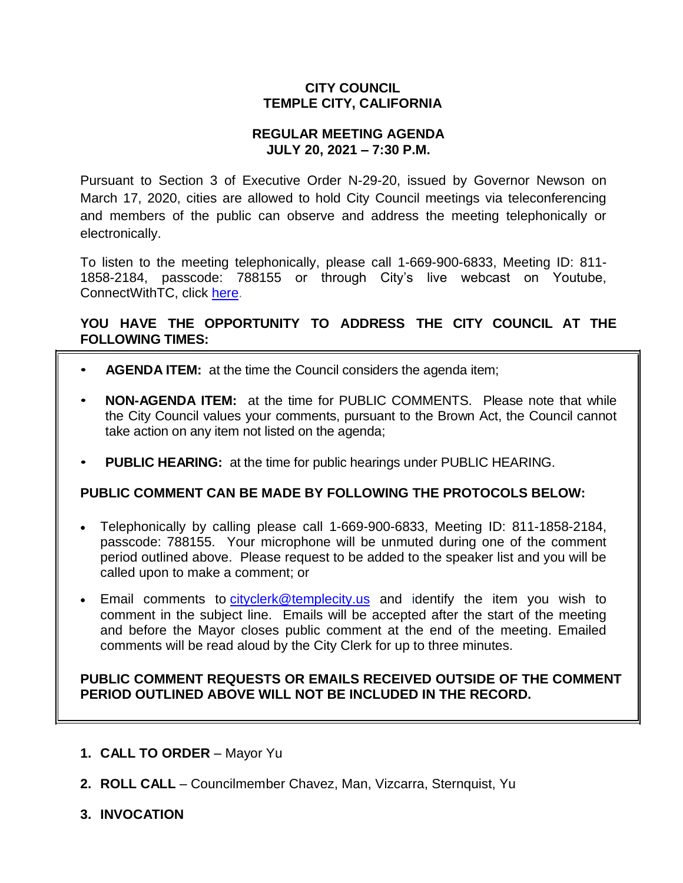# **CITY COUNCIL TEMPLE CITY, CALIFORNIA**

# **REGULAR MEETING AGENDA JULY 20, 2021 – 7:30 P.M.**

Pursuant to Section 3 of Executive Order N-29-20, issued by Governor Newson on March 17, 2020, cities are allowed to hold City Council meetings via teleconferencing and members of the public can observe and address the meeting telephonically or electronically.

To listen to the meeting telephonically, please call 1-669-900-6833, Meeting ID: 811- 1858-2184, passcode: 788155 or through City's live webcast on Youtube, ConnectWithTC, click [here.](https://www.ci.temple-city.ca.us/516/Meeting-Webcast)

# **YOU HAVE THE OPPORTUNITY TO ADDRESS THE CITY COUNCIL AT THE FOLLOWING TIMES:**

- **AGENDA ITEM:** at the time the Council considers the agenda item;
- **NON-AGENDA ITEM:** at the time for PUBLIC COMMENTS. Please note that while the City Council values your comments, pursuant to the Brown Act, the Council cannot take action on any item not listed on the agenda;
- **PUBLIC HEARING:** at the time for public hearings under PUBLIC HEARING.

# **PUBLIC COMMENT CAN BE MADE BY FOLLOWING THE PROTOCOLS BELOW:**

- Telephonically by calling please call 1-669-900-6833, Meeting ID: 811-1858-2184, passcode: 788155. Your microphone will be unmuted during one of the comment period outlined above. Please request to be added to the speaker list and you will be called upon to make a comment; or
- Email comments to [cityclerk@templecity.us](mailto:cityclerk@templecity.us) and identify the item you wish to comment in the subject line. Emails will be accepted after the start of the meeting and before the Mayor closes public comment at the end of the meeting. Emailed comments will be read aloud by the City Clerk for up to three minutes.

# **PUBLIC COMMENT REQUESTS OR EMAILS RECEIVED OUTSIDE OF THE COMMENT PERIOD OUTLINED ABOVE WILL NOT BE INCLUDED IN THE RECORD.**

- **1. CALL TO ORDER**  Mayor Yu
- **2. ROLL CALL**  Councilmember Chavez, Man, Vizcarra, Sternquist, Yu
- **3. INVOCATION**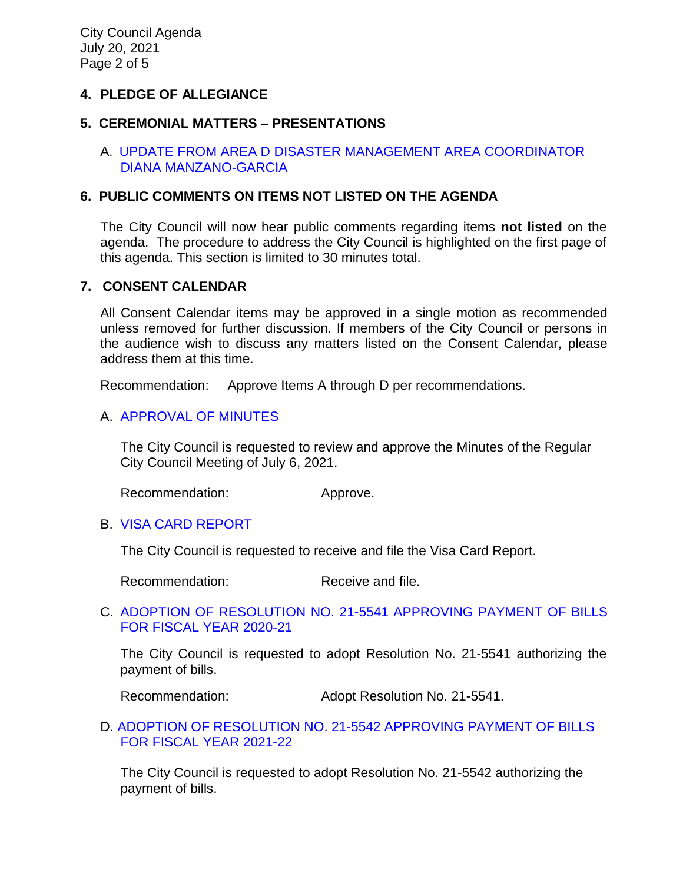# **4. PLEDGE OF ALLEGIANCE**

### **5. CEREMONIAL MATTERS – PRESENTATIONS**

# A. UPDATE FROM AREA D [DISASTER MANAGEMENT AREA COORDINATOR](https://www.ci.temple-city.ca.us/DocumentCenter/View/16513/02_5A_Presentation_Area-D-72021)  [DIANA MANZANO-GARCIA](https://www.ci.temple-city.ca.us/DocumentCenter/View/16513/02_5A_Presentation_Area-D-72021)

### **6. PUBLIC COMMENTS ON ITEMS NOT LISTED ON THE AGENDA**

The City Council will now hear public comments regarding items **not listed** on the agenda. The procedure to address the City Council is highlighted on the first page of this agenda. This section is limited to 30 minutes total.

### **7. CONSENT CALENDAR**

All Consent Calendar items may be approved in a single motion as recommended unless removed for further discussion. If members of the City Council or persons in the audience wish to discuss any matters listed on the Consent Calendar, please address them at this time.

Recommendation: Approve Items A through D per recommendations.

# A. [APPROVAL OF MINUTES](https://www.ci.temple-city.ca.us/DocumentCenter/View/16514/03_7A_CCM---2021-07-06)

The City Council is requested to review and approve the Minutes of the Regular City Council Meeting of July 6, 2021.

Recommendation: Approve.

# B. [VISA CARD](https://www.ci.temple-city.ca.us/DocumentCenter/View/16515/04_7B_Visa-Card-Report_Staff-Report0001) REPORT

The City Council is requested to receive and file the Visa Card Report.

Recommendation: Receive and file.

### C. [ADOPTION OF RESOLUTION NO. 21-5541](https://www.ci.temple-city.ca.us/DocumentCenter/View/16516/05_7C_CC-Warrant-FY-2020-21_Reso-21-5541) APPROVING PAYMENT OF BILLS [FOR FISCAL YEAR 2020-21](https://www.ci.temple-city.ca.us/DocumentCenter/View/16516/05_7C_CC-Warrant-FY-2020-21_Reso-21-5541)

The City Council is requested to adopt Resolution No. 21-5541 authorizing the payment of bills.

Recommendation: Adopt Resolution No. 21-5541.

### D. [ADOPTION OF RESOLUTION NO. 21-5542 APPROVING PAYMENT OF BILLS](https://www.ci.temple-city.ca.us/DocumentCenter/View/16517/06_7D_CC-Warrant-FY-2021-22_Reso-21-5542)  [FOR FISCAL YEAR 2021-22](https://www.ci.temple-city.ca.us/DocumentCenter/View/16517/06_7D_CC-Warrant-FY-2021-22_Reso-21-5542)

The City Council is requested to adopt Resolution No. 21-5542 authorizing the payment of bills.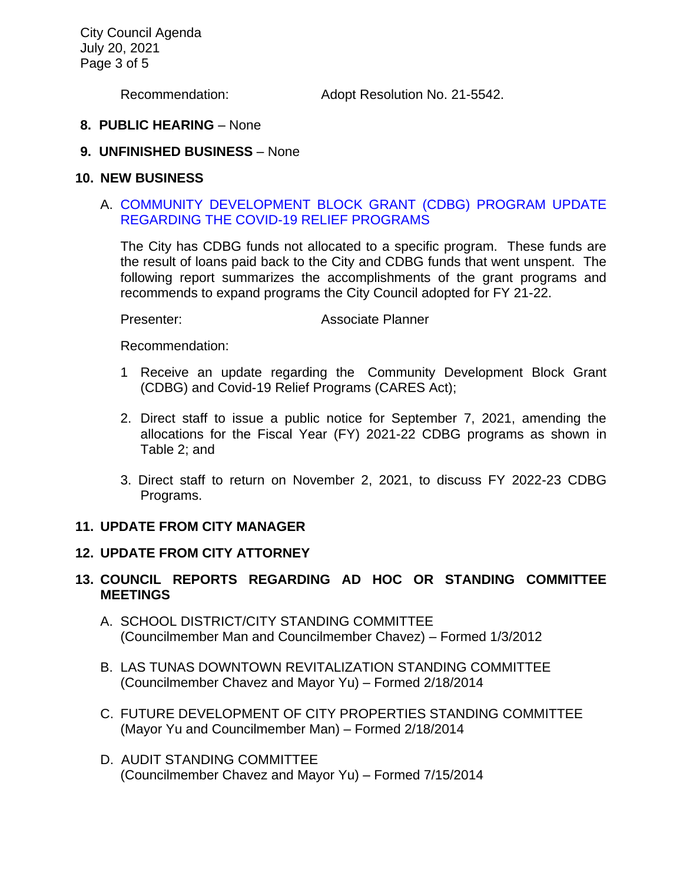City Council Agenda July 20, 2021 Page 3 of 5

Recommendation: Adopt Resolution No. 21-5542.

### **8. PUBLIC HEARING** – None

### **9. UNFINISHED BUSINESS** – None

#### **10. NEW BUSINESS**

### A. [COMMUNITY DEVELOPMENT BLOCK GRANT \(CDBG\) PROGRAM UPDATE](https://www.ci.temple-city.ca.us/DocumentCenter/View/16518/07_10A_CC-Staff-Report-CDBG-COVID-19-Programs-Updates-07202021_v4)  [REGARDING THE COVID-19 RELIEF PROGRAMS](https://www.ci.temple-city.ca.us/DocumentCenter/View/16518/07_10A_CC-Staff-Report-CDBG-COVID-19-Programs-Updates-07202021_v4)

The City has CDBG funds not allocated to a specific program. These funds are the result of loans paid back to the City and CDBG funds that went unspent. The following report summarizes the accomplishments of the grant programs and recommends to expand programs the City Council adopted for FY 21-22.

Presenter: Associate Planner

Recommendation:

- 1 Receive an update regarding the Community Development Block Grant (CDBG) and Covid-19 Relief Programs (CARES Act);
- 2. Direct staff to issue a public notice for September 7, 2021, amending the allocations for the Fiscal Year (FY) 2021-22 CDBG programs as shown in Table 2; and
- 3. Direct staff to return on November 2, 2021, to discuss FY 2022-23 CDBG Programs.

#### **11. UPDATE FROM CITY MANAGER**

### **12. UPDATE FROM CITY ATTORNEY**

# **13. COUNCIL REPORTS REGARDING AD HOC OR STANDING COMMITTEE MEETINGS**

- A. SCHOOL DISTRICT/CITY STANDING COMMITTEE (Councilmember Man and Councilmember Chavez) – Formed 1/3/2012
- B. LAS TUNAS DOWNTOWN REVITALIZATION STANDING COMMITTEE (Councilmember Chavez and Mayor Yu) – Formed 2/18/2014
- C. FUTURE DEVELOPMENT OF CITY PROPERTIES STANDING COMMITTEE (Mayor Yu and Councilmember Man) – Formed 2/18/2014
- D. AUDIT STANDING COMMITTEE (Councilmember Chavez and Mayor Yu) – Formed 7/15/2014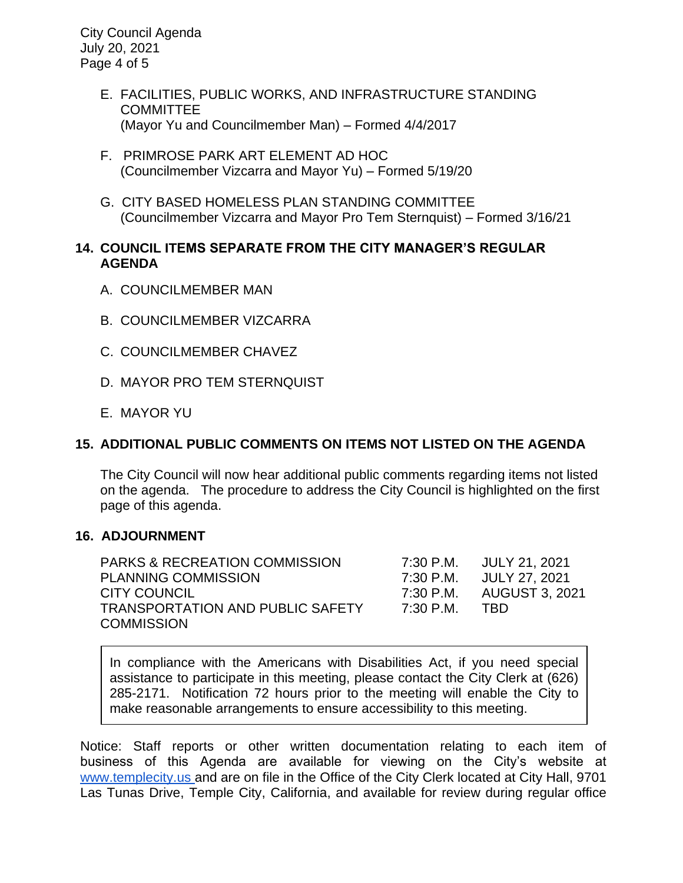City Council Agenda July 20, 2021 Page 4 of 5

- E. FACILITIES, PUBLIC WORKS, AND INFRASTRUCTURE STANDING **COMMITTEE** (Mayor Yu and Councilmember Man) – Formed 4/4/2017
- F. PRIMROSE PARK ART ELEMENT AD HOC (Councilmember Vizcarra and Mayor Yu) – Formed 5/19/20
- G. CITY BASED HOMELESS PLAN STANDING COMMITTEE (Councilmember Vizcarra and Mayor Pro Tem Sternquist) – Formed 3/16/21

# **14. COUNCIL ITEMS SEPARATE FROM THE CITY MANAGER'S REGULAR AGENDA**

- A. COUNCILMEMBER MAN
- B. COUNCILMEMBER VIZCARRA
- C. COUNCILMEMBER CHAVEZ
- D. MAYOR PRO TEM STERNQUIST
- E. MAYOR YU

# **15. ADDITIONAL PUBLIC COMMENTS ON ITEMS NOT LISTED ON THE AGENDA**

The City Council will now hear additional public comments regarding items not listed on the agenda. The procedure to address the City Council is highlighted on the first page of this agenda.

# **16. ADJOURNMENT**

PARKS & RECREATION COMMISSION 7:30 P.M. JULY 21, 2021 PLANNING COMMISSION 7:30 P.M. JULY 27, 2021 CITY COUNCIL 7:30 P.M. AUGUST 3, 2021 TRANSPORTATION AND PUBLIC SAFETY 7:30 P.M. TBD **COMMISSION** 

In compliance with the Americans with Disabilities Act, if you need special assistance to participate in this meeting, please contact the City Clerk at (626) 285-2171. Notification 72 hours prior to the meeting will enable the City to make reasonable arrangements to ensure accessibility to this meeting.

Notice: Staff reports or other written documentation relating to each item of business of this Agenda are available for viewing on the City's website a[t](about:blank) [www.templecity.us](about:blank) and are on file in the Office of the City Clerk located at City Hall, 9701 Las Tunas Drive, Temple City, California, and available for review during regular office